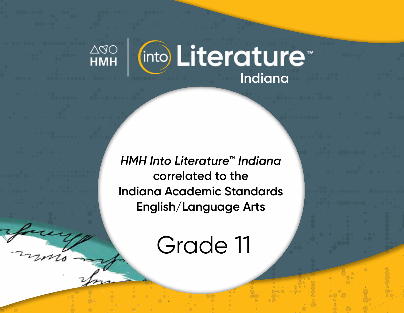

*HMH Into Literature***™** *Indiana* **correlated to the Indiana Academic Standards English/Language Arts** 

Grade 11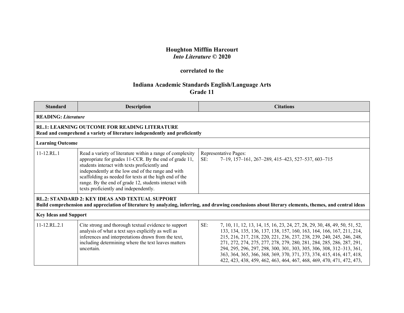## **Houghton Mifflin Harcourt** *Into Literature* **© 2020**

## **correlated to the**

## **Indiana Academic Standards English/Language Arts Grade 11**

| <b>Standard</b>              | <b>Description</b>                                                                                                                                                                                                                                                                                                                                                                     |     | <b>Citations</b>                                                                                                                                                                                                                                                                                                                                                                                                                                                                                                                |
|------------------------------|----------------------------------------------------------------------------------------------------------------------------------------------------------------------------------------------------------------------------------------------------------------------------------------------------------------------------------------------------------------------------------------|-----|---------------------------------------------------------------------------------------------------------------------------------------------------------------------------------------------------------------------------------------------------------------------------------------------------------------------------------------------------------------------------------------------------------------------------------------------------------------------------------------------------------------------------------|
| <b>READING: Literature</b>   |                                                                                                                                                                                                                                                                                                                                                                                        |     |                                                                                                                                                                                                                                                                                                                                                                                                                                                                                                                                 |
|                              | <b>RL.1: LEARNING OUTCOME FOR READING LITERATURE</b><br>Read and comprehend a variety of literature independently and proficiently                                                                                                                                                                                                                                                     |     |                                                                                                                                                                                                                                                                                                                                                                                                                                                                                                                                 |
| <b>Learning Outcome</b>      |                                                                                                                                                                                                                                                                                                                                                                                        |     |                                                                                                                                                                                                                                                                                                                                                                                                                                                                                                                                 |
| $11-12.RL.1$                 | Read a variety of literature within a range of complexity<br>appropriate for grades 11-CCR. By the end of grade 11,<br>students interact with texts proficiently and<br>independently at the low end of the range and with<br>scaffolding as needed for texts at the high end of the<br>range. By the end of grade 12, students interact with<br>texts proficiently and independently. | SE: | Representative Pages:<br>7-19, 157-161, 267-289, 415-423, 527-537, 603-715                                                                                                                                                                                                                                                                                                                                                                                                                                                      |
|                              | RL.2: STANDARD 2: KEY IDEAS AND TEXTUAL SUPPORT                                                                                                                                                                                                                                                                                                                                        |     | Build comprehension and appreciation of literature by analyzing, inferring, and drawing conclusions about literary elements, themes, and central ideas                                                                                                                                                                                                                                                                                                                                                                          |
| <b>Key Ideas and Support</b> |                                                                                                                                                                                                                                                                                                                                                                                        |     |                                                                                                                                                                                                                                                                                                                                                                                                                                                                                                                                 |
| 11-12.RL.2.1                 | Cite strong and thorough textual evidence to support<br>analysis of what a text says explicitly as well as<br>inferences and interpretations drawn from the text,<br>including determining where the text leaves matters<br>uncertain.                                                                                                                                                 | SE: | 7, 10, 11, 12, 13, 14, 15, 16, 23, 24, 27, 28, 29, 30, 48, 49, 50, 51, 52,<br>133, 134, 135, 136, 137, 138, 157, 160, 163, 164, 166, 167, 211, 214,<br>215, 216, 217, 218, 220, 221, 236, 237, 238, 239, 240, 245, 246, 248,<br>271, 272, 274, 275, 277, 278, 279, 280, 281, 284, 285, 286, 287, 291,<br>294, 295, 296, 297, 298, 300, 301, 303, 305, 306, 308, 312-313, 361,<br>363, 364, 365, 366, 368, 369, 370, 371, 373, 374, 415, 416, 417, 418,<br>422, 423, 438, 459, 462, 463, 464, 467, 468, 469, 470, 471, 472, 473, |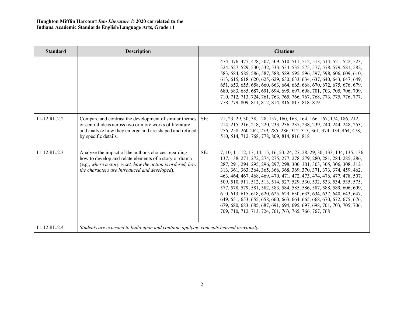| <b>Standard</b> | <b>Description</b>                                                                                                                                                                                                             | <b>Citations</b>                                                                                                                                                                                                                                                                                                                                                                                                                                                                                                                                                                                                                                                                                                                                                                                                            |
|-----------------|--------------------------------------------------------------------------------------------------------------------------------------------------------------------------------------------------------------------------------|-----------------------------------------------------------------------------------------------------------------------------------------------------------------------------------------------------------------------------------------------------------------------------------------------------------------------------------------------------------------------------------------------------------------------------------------------------------------------------------------------------------------------------------------------------------------------------------------------------------------------------------------------------------------------------------------------------------------------------------------------------------------------------------------------------------------------------|
|                 |                                                                                                                                                                                                                                | 474, 476, 477, 478, 507, 509, 510, 511, 512, 513, 514, 521, 522, 523,<br>524, 527, 529, 530, 532, 533, 534, 535, 575, 577, 578, 579, 581, 582,<br>583, 584, 585, 586, 587, 588, 589, 595, 596, 597, 598, 606, 609, 610,<br>613, 615, 618, 620, 625, 629, 630, 633, 634, 637, 640, 643, 647, 649,<br>651, 653, 655, 658, 660, 663, 664, 665, 668, 670, 672, 675, 676, 679,<br>680, 683, 685, 687, 691, 694, 695, 697, 698, 701, 703, 705, 706, 709,<br>710, 712, 713, 724, 761, 763, 765, 766, 767, 768, 773, 775, 776, 777,<br>778, 779, 809, 811, 812, 814, 816, 817, 818-819                                                                                                                                                                                                                                              |
| $11-12.RL.2.2$  | Compare and contrast the development of similar themes<br>or central ideas across two or more works of literature<br>and analyze how they emerge and are shaped and refined<br>by specific details.                            | SE:<br>21, 23, 29, 30, 38, 128, 157, 160, 163, 164, 166–167, 174, 186, 212,<br>214, 215, 216, 218, 220, 233, 236, 237, 238, 239, 240, 244, 248, 253,<br>256, 258, 260-262, 279, 285, 286, 312-313, 361, 374, 434, 464, 478,<br>510, 514, 712, 768, 778, 809, 814, 816, 818                                                                                                                                                                                                                                                                                                                                                                                                                                                                                                                                                  |
| $11-12.RL.2.3$  | Analyze the impact of the author's choices regarding<br>how to develop and relate elements of a story or drama<br>(e.g., where a story is set, how the action is ordered, how<br>the characters are introduced and developed). | SE:<br>7, 10, 11, 12, 13, 14, 15, 16, 23, 24, 27, 28, 29, 30, 133, 134, 135, 136,<br>137, 138, 271, 272, 274, 275, 277, 278, 279, 280, 281, 284, 285, 286,<br>287, 291, 294, 295, 296, 297, 298, 300, 301, 303, 305, 306, 308, 312-<br>313, 361, 363, 364, 365, 366, 368, 369, 370, 371, 373, 374, 459, 462,<br>463, 464, 467, 468, 469, 470, 471, 472, 473, 474, 476, 477, 478, 507,<br>509, 510, 511, 512, 513, 514, 527, 529, 530, 532, 533, 534, 535, 575,<br>577, 578, 579, 581, 582, 583, 584, 585, 586, 587, 588, 589, 606, 609,<br>610, 613, 615, 618, 620, 625, 629, 630, 633, 634, 637, 640, 643, 647,<br>649, 651, 653, 655, 658, 660, 663, 664, 665, 668, 670, 672, 675, 676,<br>679, 680, 683, 685, 687, 691, 694, 695, 697, 698, 701, 703, 705, 706,<br>709, 710, 712, 713, 724, 761, 763, 765, 766, 767, 768 |
| 11-12.RL.2.4    | Students are expected to build upon and continue applying concepts learned previously.                                                                                                                                         |                                                                                                                                                                                                                                                                                                                                                                                                                                                                                                                                                                                                                                                                                                                                                                                                                             |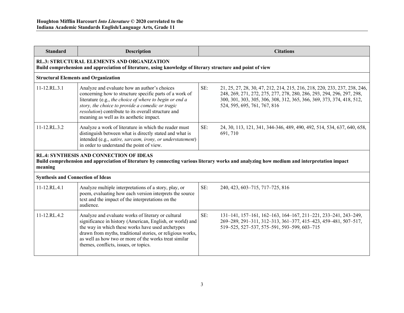| <b>Standard</b>                                                                                                                                                                                         | <b>Description</b>                                                                                                                                                                                                                                                                                                                   |     | <b>Citations</b>                                                                                                                                                                                                                                            |  |
|---------------------------------------------------------------------------------------------------------------------------------------------------------------------------------------------------------|--------------------------------------------------------------------------------------------------------------------------------------------------------------------------------------------------------------------------------------------------------------------------------------------------------------------------------------|-----|-------------------------------------------------------------------------------------------------------------------------------------------------------------------------------------------------------------------------------------------------------------|--|
|                                                                                                                                                                                                         | <b>RL.3: STRUCTURAL ELEMENTS AND ORGANIZATION</b><br>Build comprehension and appreciation of literature, using knowledge of literary structure and point of view                                                                                                                                                                     |     |                                                                                                                                                                                                                                                             |  |
|                                                                                                                                                                                                         | <b>Structural Elements and Organization</b>                                                                                                                                                                                                                                                                                          |     |                                                                                                                                                                                                                                                             |  |
| 11-12.RL.3.1                                                                                                                                                                                            | Analyze and evaluate how an author's choices<br>concerning how to structure specific parts of a work of<br>literature (e.g., the choice of where to begin or end a<br>story, the choice to provide a comedic or tragic<br>resolution) contribute to its overall structure and<br>meaning as well as its aesthetic impact.            | SE: | 21, 25, 27, 28, 30, 47, 212, 214, 215, 216, 218, 220, 233, 237, 238, 246,<br>248, 269, 271, 272, 275, 277, 278, 280, 286, 293, 294, 296, 297, 298,<br>300, 301, 303, 305, 306, 308, 312, 365, 366, 369, 373, 374, 418, 512,<br>524, 595, 695, 761, 767, 816 |  |
| 11-12.RL.3.2                                                                                                                                                                                            | Analyze a work of literature in which the reader must<br>distinguish between what is directly stated and what is<br>intended (e.g., satire, sarcasm, irony, or understatement)<br>in order to understand the point of view.                                                                                                          | SE: | 24, 30, 113, 121, 341, 344-346, 489, 490, 492, 514, 534, 637, 640, 658,<br>691, 710                                                                                                                                                                         |  |
| <b>RL.4: SYNTHESIS AND CONNECTION OF IDEAS</b><br>Build comprehension and appreciation of literature by connecting various literary works and analyzing how medium and interpretation impact<br>meaning |                                                                                                                                                                                                                                                                                                                                      |     |                                                                                                                                                                                                                                                             |  |
| <b>Synthesis and Connection of Ideas</b>                                                                                                                                                                |                                                                                                                                                                                                                                                                                                                                      |     |                                                                                                                                                                                                                                                             |  |
| $11 - 12$ .RL.4.1                                                                                                                                                                                       | Analyze multiple interpretations of a story, play, or<br>poem, evaluating how each version interprets the source<br>text and the impact of the interpretations on the<br>audience.                                                                                                                                                   | SE: | 240, 423, 603-715, 717-725, 816                                                                                                                                                                                                                             |  |
| 11-12.RL.4.2                                                                                                                                                                                            | Analyze and evaluate works of literary or cultural<br>significance in history (American, English, or world) and<br>the way in which these works have used archetypes<br>drawn from myths, traditional stories, or religious works,<br>as well as how two or more of the works treat similar<br>themes, conflicts, issues, or topics. | SE: | 131-141, 157-161, 162-163, 164-167, 211-221, 233-241, 243-249,<br>269-289, 291-311, 312-313, 361-377, 415-423, 459-481, 507-517,<br>519-525, 527-537, 575-591, 593-599, 603-715                                                                             |  |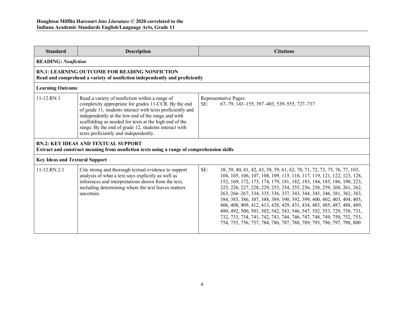| <b>Standard</b>                                                                                                                         | <b>Description</b>                                                                                                                                                                                                                                                                                                                                                                     | <b>Citations</b>                                                                                                                                                                                                                                                                                                                                                                                                                                                                                                                                                                                                                                                                                                                                               |  |  |
|-----------------------------------------------------------------------------------------------------------------------------------------|----------------------------------------------------------------------------------------------------------------------------------------------------------------------------------------------------------------------------------------------------------------------------------------------------------------------------------------------------------------------------------------|----------------------------------------------------------------------------------------------------------------------------------------------------------------------------------------------------------------------------------------------------------------------------------------------------------------------------------------------------------------------------------------------------------------------------------------------------------------------------------------------------------------------------------------------------------------------------------------------------------------------------------------------------------------------------------------------------------------------------------------------------------------|--|--|
| <b>READING: Nonfiction</b>                                                                                                              |                                                                                                                                                                                                                                                                                                                                                                                        |                                                                                                                                                                                                                                                                                                                                                                                                                                                                                                                                                                                                                                                                                                                                                                |  |  |
|                                                                                                                                         | <b>RN.1: LEARNING OUTCOME FOR READING NONFICTION</b><br>Read and comprehend a variety of nonfiction independently and proficiently                                                                                                                                                                                                                                                     |                                                                                                                                                                                                                                                                                                                                                                                                                                                                                                                                                                                                                                                                                                                                                                |  |  |
| <b>Learning Outcome</b>                                                                                                                 |                                                                                                                                                                                                                                                                                                                                                                                        |                                                                                                                                                                                                                                                                                                                                                                                                                                                                                                                                                                                                                                                                                                                                                                |  |  |
| 11-12.RN.1                                                                                                                              | Read a variety of nonfiction within a range of<br>complexity appropriate for grades 11-CCR. By the end<br>of grade 11, students interact with texts proficiently and<br>independently at the low end of the range and with<br>scaffolding as needed for texts at the high end of the<br>range. By the end of grade 12, students interact with<br>texts proficiently and independently. | Representative Pages:<br>SE:<br>67-79, 143-155, 397-403, 539-555, 727-737                                                                                                                                                                                                                                                                                                                                                                                                                                                                                                                                                                                                                                                                                      |  |  |
| <b>RN.2: KEY IDEAS AND TEXTUAL SUPPORT</b><br>Extract and construct meaning from nonfiction texts using a range of comprehension skills |                                                                                                                                                                                                                                                                                                                                                                                        |                                                                                                                                                                                                                                                                                                                                                                                                                                                                                                                                                                                                                                                                                                                                                                |  |  |
| <b>Key Ideas and Textural Support</b>                                                                                                   |                                                                                                                                                                                                                                                                                                                                                                                        |                                                                                                                                                                                                                                                                                                                                                                                                                                                                                                                                                                                                                                                                                                                                                                |  |  |
| 11-12.RN.2.1                                                                                                                            | Cite strong and thorough textual evidence to support<br>analysis of what a text says explicitly as well as<br>inferences and interpretations drawn from the text,<br>including determining where the text leaves matters<br>uncertain.                                                                                                                                                 | SE:<br>38, 39, 40, 41, 42, 43, 58, 59, 61, 62, 70, 71, 72, 73, 75, 76, 77, 103,<br>104, 105, 106, 107, 108, 109, 115, 116, 117, 119, 121, 122, 123, 128,<br>152, 169, 172, 173, 174, 179, 181, 182, 183, 184, 185, 186, 190, 223,<br>225, 226, 227, 228, 229, 253, 254, 255, 256, 258, 259, 260, 261, 262,<br>263, 266–267, 334, 335, 336, 337, 343, 344, 345, 346, 381, 382, 383,<br>384, 385, 386, 387, 388, 389, 390, 392, 399, 400, 402, 403, 404, 405,<br>406, 408, 409, 412, 413, 428, 429, 431, 434, 483, 485, 487, 488, 489,<br>490, 492, 500, 501, 502, 542, 543, 546, 547, 552, 553, 729, 730, 731,<br>732, 733, 734, 741, 742, 743, 744, 746, 747, 748, 749, 750, 752, 753,<br>754, 755, 756, 757, 784, 786, 787, 788, 789, 793, 796, 797, 798, 800 |  |  |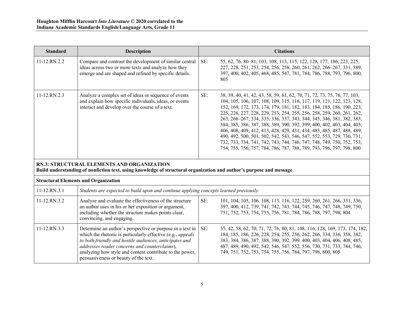| <b>Standard</b> | <b>Description</b>                                                                                                                                                                                                                                                                                                                                 |     | <b>Citations</b>                                                                                                                                                                                                                                                                                                                                                                                                                                                                                                                                                                                                                                                                                                                                        |
|-----------------|----------------------------------------------------------------------------------------------------------------------------------------------------------------------------------------------------------------------------------------------------------------------------------------------------------------------------------------------------|-----|---------------------------------------------------------------------------------------------------------------------------------------------------------------------------------------------------------------------------------------------------------------------------------------------------------------------------------------------------------------------------------------------------------------------------------------------------------------------------------------------------------------------------------------------------------------------------------------------------------------------------------------------------------------------------------------------------------------------------------------------------------|
| 11-12.RN.2.2    | Compare and contrast the development of similar central<br>ideas across two or more texts and analyze how they<br>emerge and are shaped and refined by specific details.                                                                                                                                                                           | SE: | 55, 62, 76, 80–81, 103, 108, 113, 115, 122, 128, 177, 186, 223, 225,<br>227, 228, 251, 253, 254, 256, 258, 260, 261, 262, 266-267, 331, 389,<br>397, 400, 402, 405, 468, 485, 547, 781, 784, 786, 788, 793, 796, 800,<br>805                                                                                                                                                                                                                                                                                                                                                                                                                                                                                                                            |
| 11-12.RN.2.3    | Analyze a complex set of ideas or sequence of events<br>and explain how specific individuals, ideas, or events<br>interact and develop over the course of a text.                                                                                                                                                                                  | SE: | 38, 39, 40, 41, 42, 43, 58, 59, 61, 62, 70, 71, 72, 73, 75, 76, 77, 103,<br>104, 105, 106, 107, 108, 109, 115, 116, 117, 119, 121, 122, 123, 128,<br>152, 169, 172, 173, 174, 179, 181, 182, 183, 184, 185, 186, 190, 223,<br>225, 226, 227, 228, 229, 253, 254, 255, 256, 258, 259, 260, 261, 262,<br>263, 266–267, 334, 335, 336, 337, 343, 344, 345, 346, 381, 382, 383,<br>384, 385, 386, 387, 388, 389, 390, 392, 399, 400, 402, 403, 404, 405,<br>406, 408, 409, 412, 413, 428, 429, 431, 434, 483, 485, 487, 488, 489,<br>490, 492, 500, 501, 502, 542, 543, 546, 547, 552, 553, 729, 730, 731,<br>732, 733, 734, 741, 742, 743, 744, 746, 747, 748, 749, 750, 752, 753,<br>754, 755, 756, 757, 784, 786, 787, 788, 789, 793, 796, 797, 798, 800 |
|                 | <b>RN.3: STRUCTURAL ELEMENTS AND ORGANIZATION</b><br>Build understanding of nonfiction text, using knowledge of structural organization and author's purpose and message                                                                                                                                                                           |     |                                                                                                                                                                                                                                                                                                                                                                                                                                                                                                                                                                                                                                                                                                                                                         |
|                 | <b>Structural Elements and Organization</b>                                                                                                                                                                                                                                                                                                        |     |                                                                                                                                                                                                                                                                                                                                                                                                                                                                                                                                                                                                                                                                                                                                                         |
| 11-12.RN.3.1    | Students are expected to build upon and continue applying concepts learned previously.                                                                                                                                                                                                                                                             |     |                                                                                                                                                                                                                                                                                                                                                                                                                                                                                                                                                                                                                                                                                                                                                         |
| 11-12.RN.3.2    | Analyze and evaluate the effectiveness of the structure<br>an author uses in his or her exposition or argument,<br>including whether the structure makes points clear,<br>convincing, and engaging.                                                                                                                                                | SE: | 101, 104, 105, 106, 108, 113, 116, 122, 259, 260, 261, 266, 331, 336,<br>397, 400, 412, 739, 741, 742, 743, 744, 745, 746, 747, 748, 749, 750,<br>751, 752, 753, 754, 755, 756, 781, 784, 786, 788, 797, 798, 804                                                                                                                                                                                                                                                                                                                                                                                                                                                                                                                                       |
| 11-12.RN.3.3    | Determine an author's perspective or purpose in a text in<br>which the rhetoric is particularly effective (e.g., <i>appeals</i> )<br>to both friendly and hostile audiences, anticipates and<br>addresses reader concerns and counterclaims),<br>analyzing how style and content contribute to the power,<br>persuasiveness or beauty of the text. | SE: | 35, 42, 58, 62, 70, 71, 72, 76, 80, 81, 108, 116, 128, 169, 173, 174, 182,<br>184, 185, 186, 226, 228, 254, 255, 256, 262, 266, 334, 336, 358, 382,<br>383, 384, 386, 387, 388, 390, 392, 399, 400, 403, 404, 406, 408, 485,<br>487, 489, 490, 492, 542, 546, 547, 552, 556, 730, 731, 733, 744, 746,<br>749, 751, 752, 753, 754, 755, 756, 784, 797, 798, 800, 805                                                                                                                                                                                                                                                                                                                                                                                     |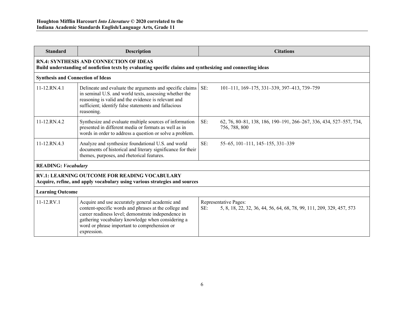| <b>Standard</b>                                                                                                                    | <b>Description</b>                                                                                                                                                                                                                                                                  | <b>Citations</b>                                                                                      |  |  |
|------------------------------------------------------------------------------------------------------------------------------------|-------------------------------------------------------------------------------------------------------------------------------------------------------------------------------------------------------------------------------------------------------------------------------------|-------------------------------------------------------------------------------------------------------|--|--|
|                                                                                                                                    | <b>RN.4: SYNTHESIS AND CONNECTION OF IDEAS</b><br>Build understanding of nonfiction texts by evaluating specific claims and synthesizing and connecting ideas                                                                                                                       |                                                                                                       |  |  |
| <b>Synthesis and Connection of Ideas</b>                                                                                           |                                                                                                                                                                                                                                                                                     |                                                                                                       |  |  |
| 11-12.RN.4.1                                                                                                                       | Delineate and evaluate the arguments and specific claims<br>in seminal U.S. and world texts, assessing whether the<br>reasoning is valid and the evidence is relevant and<br>sufficient; identify false statements and fallacious<br>reasoning.                                     | SE:<br>101-111, 169-175, 331-339, 397-413, 739-759                                                    |  |  |
| $11 - 12$ .RN.4.2                                                                                                                  | Synthesize and evaluate multiple sources of information<br>presented in different media or formats as well as in<br>words in order to address a question or solve a problem.                                                                                                        | SE:<br>62, 76, 80–81, 138, 186, 190–191, 266–267, 336, 434, 527–557, 734,<br>756, 788, 800            |  |  |
| 11-12.RN.4.3                                                                                                                       | Analyze and synthesize foundational U.S. and world<br>documents of historical and literary significance for their<br>themes, purposes, and rhetorical features.                                                                                                                     | SE:<br>55-65, 101-111, 145-155, 331-339                                                               |  |  |
| <b>READING: Vocabulary</b>                                                                                                         |                                                                                                                                                                                                                                                                                     |                                                                                                       |  |  |
| <b>RV.1: LEARNING OUTCOME FOR READING VOCABULARY</b><br>Acquire, refine, and apply vocabulary using various strategies and sources |                                                                                                                                                                                                                                                                                     |                                                                                                       |  |  |
|                                                                                                                                    | <b>Learning Outcome</b>                                                                                                                                                                                                                                                             |                                                                                                       |  |  |
| $11 - 12$ .RV.1                                                                                                                    | Acquire and use accurately general academic and<br>content-specific words and phrases at the college and<br>career readiness level; demonstrate independence in<br>gathering vocabulary knowledge when considering a<br>word or phrase important to comprehension or<br>expression. | Representative Pages:<br>SE:<br>5, 8, 18, 22, 32, 36, 44, 56, 64, 68, 78, 99, 111, 209, 329, 457, 573 |  |  |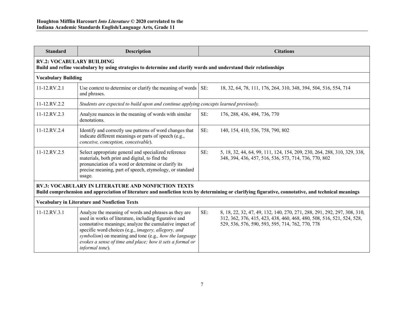| <b>Standard</b>                                                                                                                                                                                                    | <b>Description</b>                                                                                                                                                                                                                                                                                                                                                       |     | <b>Citations</b>                                                                                                                                                                                      |  |
|--------------------------------------------------------------------------------------------------------------------------------------------------------------------------------------------------------------------|--------------------------------------------------------------------------------------------------------------------------------------------------------------------------------------------------------------------------------------------------------------------------------------------------------------------------------------------------------------------------|-----|-------------------------------------------------------------------------------------------------------------------------------------------------------------------------------------------------------|--|
|                                                                                                                                                                                                                    | <b>RV.2: VOCABULARY BUILDING</b><br>Build and refine vocabulary by using strategies to determine and clarify words and understand their relationships                                                                                                                                                                                                                    |     |                                                                                                                                                                                                       |  |
| <b>Vocabulary Building</b>                                                                                                                                                                                         |                                                                                                                                                                                                                                                                                                                                                                          |     |                                                                                                                                                                                                       |  |
| 11-12.RV.2.1                                                                                                                                                                                                       | Use context to determine or clarify the meaning of words<br>and phrases.                                                                                                                                                                                                                                                                                                 | SE: | 18, 32, 64, 78, 111, 176, 264, 310, 348, 394, 504, 516, 554, 714                                                                                                                                      |  |
| 11-12.RV.2.2                                                                                                                                                                                                       | Students are expected to build upon and continue applying concepts learned previously.                                                                                                                                                                                                                                                                                   |     |                                                                                                                                                                                                       |  |
| 11-12.RV.2.3                                                                                                                                                                                                       | Analyze nuances in the meaning of words with similar<br>denotations.                                                                                                                                                                                                                                                                                                     | SE: | 176, 288, 436, 494, 736, 770                                                                                                                                                                          |  |
| 11-12.RV.2.4                                                                                                                                                                                                       | Identify and correctly use patterns of word changes that<br>indicate different meanings or parts of speech (e.g.,<br>conceive, conception, conceivable).                                                                                                                                                                                                                 | SE: | 140, 154, 410, 536, 758, 790, 802                                                                                                                                                                     |  |
| 11-12.RV.2.5                                                                                                                                                                                                       | Select appropriate general and specialized reference<br>materials, both print and digital, to find the<br>pronunciation of a word or determine or clarify its<br>precise meaning, part of speech, etymology, or standard<br>usage.                                                                                                                                       | SE: | 5, 18, 32, 44, 64, 99, 111, 124, 154, 209, 230, 264, 288, 310, 329, 338,<br>348, 394, 436, 457, 516, 536, 573, 714, 736, 770, 802                                                                     |  |
| <b>RV.3: VOCABULARY IN LITERATURE AND NONFICTION TEXTS</b><br>Build comprehension and appreciation of literature and nonfiction texts by determining or clarifying figurative, connotative, and technical meanings |                                                                                                                                                                                                                                                                                                                                                                          |     |                                                                                                                                                                                                       |  |
|                                                                                                                                                                                                                    | <b>Vocabulary in Literature and Nonfiction Texts</b>                                                                                                                                                                                                                                                                                                                     |     |                                                                                                                                                                                                       |  |
| 11-12.RV.3.1                                                                                                                                                                                                       | Analyze the meaning of words and phrases as they are<br>used in works of literature, including figurative and<br>connotative meanings; analyze the cumulative impact of<br>specific word choices (e.g., imagery, allegory, and<br>symbolism) on meaning and tone (e.g., how the language<br>evokes a sense of time and place; how it sets a formal or<br>informal tone). | SE: | 8, 18, 22, 32, 47, 49, 132, 140, 270, 271, 288, 291, 292, 297, 308, 310,<br>312, 362, 376, 415, 423, 438, 460, 468, 480, 508, 516, 521, 524, 528,<br>529, 536, 576, 590, 593, 595, 714, 762, 770, 778 |  |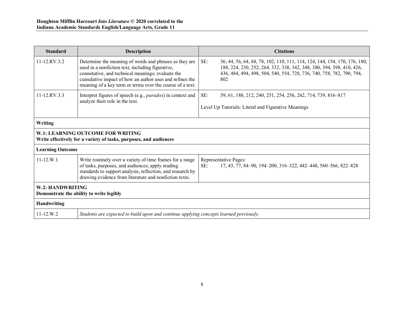| <b>Standard</b>                                              | <b>Description</b>                                                                                                                                                                                                                                                                      | <b>Citations</b>                                                                                                                                                                                                                          |  |
|--------------------------------------------------------------|-----------------------------------------------------------------------------------------------------------------------------------------------------------------------------------------------------------------------------------------------------------------------------------------|-------------------------------------------------------------------------------------------------------------------------------------------------------------------------------------------------------------------------------------------|--|
| $11 - 12$ RV 3.2                                             | Determine the meaning of words and phrases as they are<br>used in a nonfiction text, including figurative,<br>connotative, and technical meanings; evaluate the<br>cumulative impact of how an author uses and refines the<br>meaning of a key term or terms over the course of a text. | SE:<br>36, 44, 56, 64, 68, 78, 102, 110, 111, 114, 124, 144, 154, 170, 176, 180,<br>188, 224, 230, 252, 264, 332, 338, 342, 348, 380, 394, 398, 410, 426,<br>436, 484, 494, 498, 504, 540, 554, 728, 736, 740, 758, 782, 790, 794,<br>802 |  |
| $11 - 12$ . RV. $3.3$                                        | Interpret figures of speech (e.g., <i>paradox</i> ) in context and<br>analyze their role in the text.                                                                                                                                                                                   | SE:<br>59, 61, 188, 212, 240, 251, 254, 256, 262, 714, 739, 816-817<br>Level Up Tutorials: Literal and Figurative Meanings                                                                                                                |  |
| Writing                                                      |                                                                                                                                                                                                                                                                                         |                                                                                                                                                                                                                                           |  |
|                                                              | W.1: LEARNING OUTCOME FOR WRITING<br>Write effectively for a variety of tasks, purposes, and audiences                                                                                                                                                                                  |                                                                                                                                                                                                                                           |  |
| <b>Learning Outcome</b>                                      |                                                                                                                                                                                                                                                                                         |                                                                                                                                                                                                                                           |  |
| $11 - 12$ . W. 1                                             | Write routinely over a variety of time frames for a range<br>of tasks, purposes, and audiences; apply reading<br>standards to support analysis, reflection, and research by<br>drawing evidence from literature and nonfiction texts.                                                   | Representative Pages:<br>17, 43, 77, 84–90, 194–200, 316–322, 442–448, 560–566, 822–828<br>SE:                                                                                                                                            |  |
| W.2: HANDWRITING<br>Demonstrate the ability to write legibly |                                                                                                                                                                                                                                                                                         |                                                                                                                                                                                                                                           |  |
| Handwriting                                                  |                                                                                                                                                                                                                                                                                         |                                                                                                                                                                                                                                           |  |
| $11 - 12.W.2$                                                | Students are expected to build upon and continue applying concepts learned previously.                                                                                                                                                                                                  |                                                                                                                                                                                                                                           |  |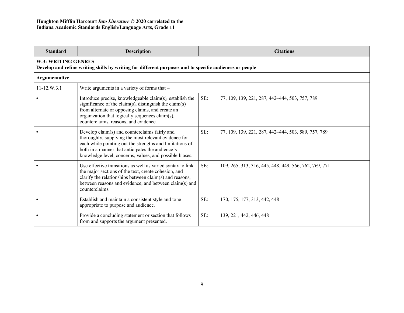| <b>Standard</b> | Description                                                                                                                                                                                                                                                                      |     | <b>Citations</b>                                      |  |  |
|-----------------|----------------------------------------------------------------------------------------------------------------------------------------------------------------------------------------------------------------------------------------------------------------------------------|-----|-------------------------------------------------------|--|--|
|                 | W.3: WRITING GENRES<br>Develop and refine writing skills by writing for different purposes and to specific audiences or people                                                                                                                                                   |     |                                                       |  |  |
| Argumentative   |                                                                                                                                                                                                                                                                                  |     |                                                       |  |  |
| $11-12.W.3.1$   | Write arguments in a variety of forms that -                                                                                                                                                                                                                                     |     |                                                       |  |  |
|                 | Introduce precise, knowledgeable claim(s), establish the<br>significance of the claim(s), distinguish the claim(s)<br>from alternate or opposing claims, and create an<br>organization that logically sequences claim(s),<br>counterclaims, reasons, and evidence.               | SE: | 77, 109, 139, 221, 287, 442-444, 503, 757, 789        |  |  |
|                 | Develop claim(s) and counterclaims fairly and<br>thoroughly, supplying the most relevant evidence for<br>each while pointing out the strengths and limitations of<br>both in a manner that anticipates the audience's<br>knowledge level, concerns, values, and possible biases. | SE: | 77, 109, 139, 221, 287, 442-444, 503, 589, 757, 789   |  |  |
|                 | Use effective transitions as well as varied syntax to link<br>the major sections of the text, create cohesion, and<br>clarify the relationships between claim(s) and reasons,<br>between reasons and evidence, and between claim(s) and<br>counterclaims.                        | SE: | 109, 265, 313, 316, 445, 448, 449, 566, 762, 769, 771 |  |  |
|                 | Establish and maintain a consistent style and tone<br>appropriate to purpose and audience.                                                                                                                                                                                       | SE: | 170, 175, 177, 313, 442, 448                          |  |  |
|                 | Provide a concluding statement or section that follows<br>from and supports the argument presented.                                                                                                                                                                              | SE: | 139, 221, 442, 446, 448                               |  |  |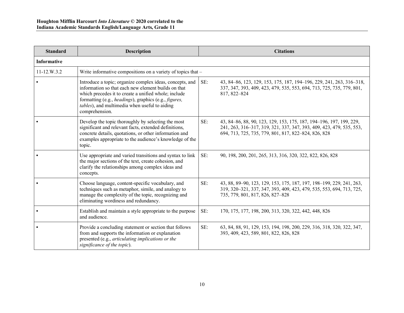| <b>Standard</b>    | <b>Description</b>                                                                                                                                                                                                                                                                                  | <b>Citations</b>                                                                                                                                                                                           |
|--------------------|-----------------------------------------------------------------------------------------------------------------------------------------------------------------------------------------------------------------------------------------------------------------------------------------------------|------------------------------------------------------------------------------------------------------------------------------------------------------------------------------------------------------------|
| <b>Informative</b> |                                                                                                                                                                                                                                                                                                     |                                                                                                                                                                                                            |
| $11-12.W.3.2$      | Write informative compositions on a variety of topics that -                                                                                                                                                                                                                                        |                                                                                                                                                                                                            |
|                    | Introduce a topic; organize complex ideas, concepts, and<br>information so that each new element builds on that<br>which precedes it to create a unified whole; include<br>formatting (e.g., headings), graphics (e.g., figures,<br>tables), and multimedia when useful to aiding<br>comprehension. | SE:<br>43, 84-86, 123, 129, 153, 175, 187, 194-196, 229, 241, 263, 316-318,<br>337, 347, 393, 409, 423, 479, 535, 553, 694, 713, 725, 735, 779, 801,<br>817, 822–824                                       |
|                    | Develop the topic thoroughly by selecting the most<br>significant and relevant facts, extended definitions,<br>concrete details, quotations, or other information and<br>examples appropriate to the audience's knowledge of the<br>topic.                                                          | SE:<br>43, 84–86, 88, 90, 123, 129, 153, 175, 187, 194–196, 197, 199, 229,<br>241, 263, 316-317, 319, 321, 337, 347, 393, 409, 423, 479, 535, 553,<br>694, 713, 725, 735, 779, 801, 817, 822-824, 826, 828 |
|                    | Use appropriate and varied transitions and syntax to link<br>the major sections of the text, create cohesion, and<br>clarify the relationships among complex ideas and<br>concepts.                                                                                                                 | SE:<br>90, 198, 200, 201, 265, 313, 316, 320, 322, 822, 826, 828                                                                                                                                           |
|                    | Choose language, content-specific vocabulary, and<br>techniques such as metaphor, simile, and analogy to<br>manage the complexity of the topic, recognizing and<br>eliminating wordiness and redundancy.                                                                                            | SE:<br>43, 88, 89–90, 123, 129, 153, 175, 187, 197, 198–199, 229, 241, 263,<br>319, 320–321, 337, 347, 393, 409, 423, 479, 535, 553, 694, 713, 725,<br>735, 779, 801, 817, 826, 827-828                    |
|                    | Establish and maintain a style appropriate to the purpose<br>and audience.                                                                                                                                                                                                                          | SE:<br>170, 175, 177, 198, 200, 313, 320, 322, 442, 448, 826                                                                                                                                               |
|                    | Provide a concluding statement or section that follows<br>from and supports the information or explanation<br>presented (e.g., articulating implications or the<br>significance of the topic).                                                                                                      | SE:<br>63, 84, 88, 91, 129, 153, 194, 198, 200, 229, 316, 318, 320, 322, 347,<br>393, 409, 423, 589, 801, 822, 826, 828                                                                                    |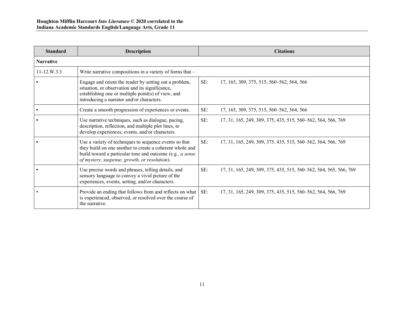| <b>Standard</b>   | <b>Description</b>                                                                                                                                                                                                               |     | <b>Citations</b>                                                  |
|-------------------|----------------------------------------------------------------------------------------------------------------------------------------------------------------------------------------------------------------------------------|-----|-------------------------------------------------------------------|
| <b>Narrative</b>  |                                                                                                                                                                                                                                  |     |                                                                   |
| $11 - 12. W. 3.3$ | Write narrative compositions in a variety of forms that -                                                                                                                                                                        |     |                                                                   |
|                   | Engage and orient the reader by setting out a problem,<br>situation, or observation and its significance,<br>establishing one or multiple point(s) of view, and<br>introducing a narrator and/or characters.                     | SE: | 17, 165, 309, 375, 515, 560–562, 564, 566                         |
|                   | Create a smooth progression of experiences or events.                                                                                                                                                                            | SE: | 17, 165, 309, 375, 515, 560–562, 564, 566                         |
|                   | Use narrative techniques, such as dialogue, pacing,<br>description, reflection, and multiple plot lines, to<br>develop experiences, events, and/or characters.                                                                   | SE: | 17, 31, 165, 249, 309, 375, 435, 515, 560–562, 564, 566, 769      |
|                   | Use a variety of techniques to sequence events so that<br>they build on one another to create a coherent whole and<br>build toward a particular tone and outcome (e.g., a sense<br>of mystery, suspense, growth, or resolution). | SE: | 17, 31, 165, 249, 309, 375, 435, 515, 560–562, 564, 566, 769      |
|                   | Use precise words and phrases, telling details, and<br>sensory language to convey a vivid picture of the<br>experiences, events, setting, and/or characters.                                                                     | SE: | 17, 31, 165, 249, 309, 375, 435, 515, 560–562, 564, 565, 566, 769 |
|                   | Provide an ending that follows from and reflects on what<br>is experienced, observed, or resolved over the course of<br>the narrative.                                                                                           | SE: | 17, 31, 165, 249, 309, 375, 435, 515, 560–562, 564, 566, 769      |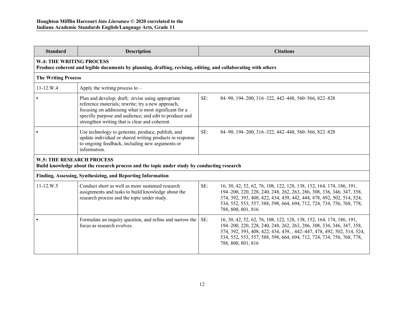| <b>Standard</b>            | <b>Description</b>                                                                                                                                                                                                                                                          |     | <b>Citations</b>                                                                                                                                                                                                                                                                                                      |  |  |
|----------------------------|-----------------------------------------------------------------------------------------------------------------------------------------------------------------------------------------------------------------------------------------------------------------------------|-----|-----------------------------------------------------------------------------------------------------------------------------------------------------------------------------------------------------------------------------------------------------------------------------------------------------------------------|--|--|
|                            | <b>W.4: THE WRITING PROCESS</b><br>Produce coherent and legible documents by planning, drafting, revising, editing, and collaborating with others                                                                                                                           |     |                                                                                                                                                                                                                                                                                                                       |  |  |
| <b>The Writing Process</b> |                                                                                                                                                                                                                                                                             |     |                                                                                                                                                                                                                                                                                                                       |  |  |
| $11 - 12.W.4$              | Apply the writing process to $-$                                                                                                                                                                                                                                            |     |                                                                                                                                                                                                                                                                                                                       |  |  |
|                            | Plan and develop; draft; revise using appropriate<br>reference materials; rewrite; try a new approach,<br>focusing on addressing what is most significant for a<br>specific purpose and audience; and edit to produce and<br>strengthen writing that is clear and coherent. | SE: | 84-90, 194-200, 316-322, 442-448, 560-566, 822-828                                                                                                                                                                                                                                                                    |  |  |
|                            | Use technology to generate, produce, publish, and<br>update individual or shared writing products in response<br>to ongoing feedback, including new arguments or<br>information.                                                                                            | SE: | 84–90, 194–200, 316–322, 442–448, 560–566, 822–828                                                                                                                                                                                                                                                                    |  |  |
|                            | <b>W.5: THE RESEARCH PROCESS</b><br>Build knowledge about the research process and the topic under study by conducting research                                                                                                                                             |     |                                                                                                                                                                                                                                                                                                                       |  |  |
|                            | Finding, Assessing, Synthesizing, and Reporting Information                                                                                                                                                                                                                 |     |                                                                                                                                                                                                                                                                                                                       |  |  |
| $11 - 12.W.5$              | Conduct short as well as more sustained research<br>assignments and tasks to build knowledge about the<br>research process and the topic under study.                                                                                                                       | SE: | 16, 30, 42, 52, 62, 76, 108, 122, 128, 138, 152, 164, 174, 186, 191,<br>194–200, 220, 228, 240, 248, 262, 263, 286, 308, 336, 346, 347, 358,<br>374, 392, 393, 408, 422, 434, 439, 442, 444, 478, 492, 502, 514, 524,<br>534, 552, 553, 557, 588, 598, 664, 694, 712, 724, 734, 756, 768, 778,<br>788, 800, 801, 816  |  |  |
|                            | Formulate an inquiry question, and refine and narrow the<br>focus as research evolves.                                                                                                                                                                                      | SE: | 16, 30, 42, 52, 62, 76, 108, 122, 128, 138, 152, 164, 174, 186, 191,<br>194-200, 220, 228, 240, 248, 262, 263, 286, 308, 336, 346, 347, 358,<br>374, 392, 393, 408, 422, 434, 439, , 442-447, 478, 492, 502, 514, 524,<br>534, 552, 553, 557, 588, 598, 664, 694, 712, 724, 734, 756, 768, 778,<br>788, 800, 801, 816 |  |  |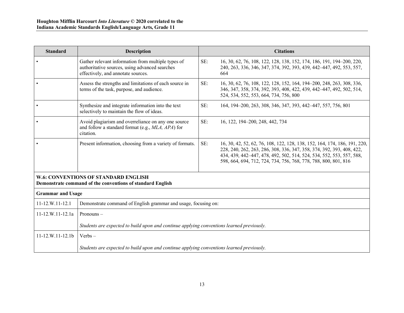| <b>Standard</b>                                                                                           | <b>Description</b>                                                                                                                         |     | <b>Citations</b>                                                                                                                                                                                                                                                                              |
|-----------------------------------------------------------------------------------------------------------|--------------------------------------------------------------------------------------------------------------------------------------------|-----|-----------------------------------------------------------------------------------------------------------------------------------------------------------------------------------------------------------------------------------------------------------------------------------------------|
|                                                                                                           | Gather relevant information from multiple types of<br>authoritative sources, using advanced searches<br>effectively, and annotate sources. | SE: | 16, 30, 62, 76, 108, 122, 128, 138, 152, 174, 186, 191, 194-200, 220,<br>240, 263, 336, 346, 347, 374, 392, 393, 439, 442–447, 492, 553, 557,<br>664                                                                                                                                          |
|                                                                                                           | Assess the strengths and limitations of each source in<br>terms of the task, purpose, and audience.                                        | SE: | 16, 30, 62, 76, 108, 122, 128, 152, 164, 194-200, 248, 263, 308, 336,<br>346, 347, 358, 374, 392, 393, 408, 422, 439, 442-447, 492, 502, 514,<br>524, 534, 552, 553, 664, 734, 756, 800                                                                                                       |
|                                                                                                           | Synthesize and integrate information into the text<br>selectively to maintain the flow of ideas.                                           | SE: | 164, 194-200, 263, 308, 346, 347, 393, 442-447, 557, 756, 801                                                                                                                                                                                                                                 |
|                                                                                                           | Avoid plagiarism and overreliance on any one source<br>and follow a standard format (e.g., MLA, APA) for<br>citation.                      | SE: | 16, 122, 194-200, 248, 442, 734                                                                                                                                                                                                                                                               |
|                                                                                                           | Present information, choosing from a variety of formats.                                                                                   | SE: | 16, 30, 42, 52, 62, 76, 108, 122, 128, 138, 152, 164, 174, 186, 191, 220,<br>228, 240, 262, 263, 286, 308, 336, 347, 358, 374, 392, 393, 408, 422,<br>434, 439, 442-447, 478, 492, 502, 514, 524, 534, 552, 553, 557, 588,<br>598, 664, 694, 712, 724, 734, 756, 768, 778, 788, 800, 801, 816 |
| <b>W.6: CONVENTIONS OF STANDARD ENGLISH</b><br>Demonstrate command of the conventions of standard English |                                                                                                                                            |     |                                                                                                                                                                                                                                                                                               |
| <b>Grammar and Usage</b>                                                                                  |                                                                                                                                            |     |                                                                                                                                                                                                                                                                                               |
| 11-12.W.11-12.1                                                                                           | Demonstrate command of English grammar and usage, focusing on:                                                                             |     |                                                                                                                                                                                                                                                                                               |
| $11 - 12. W. 11 - 12.1a$                                                                                  | Pronouns-                                                                                                                                  |     |                                                                                                                                                                                                                                                                                               |
|                                                                                                           | Students are expected to build upon and continue applying conventions learned previously.                                                  |     |                                                                                                                                                                                                                                                                                               |
| 11-12.W.11-12.1b                                                                                          | $Verbs -$                                                                                                                                  |     |                                                                                                                                                                                                                                                                                               |
|                                                                                                           | Students are expected to build upon and continue applying conventions learned previously.                                                  |     |                                                                                                                                                                                                                                                                                               |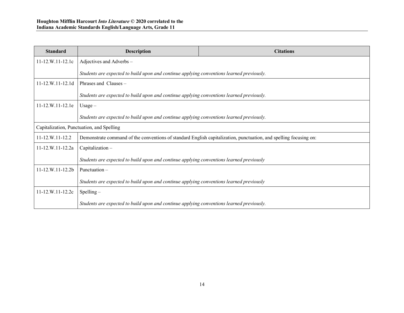| <b>Standard</b>                           | <b>Description</b>                                                                                                | <b>Citations</b> |
|-------------------------------------------|-------------------------------------------------------------------------------------------------------------------|------------------|
| $11 - 12. W. 11 - 12. 1c$                 | Adjectives and Adverbs -                                                                                          |                  |
|                                           | Students are expected to build upon and continue applying conventions learned previously.                         |                  |
| 11-12.W.11-12.1d                          | Phrases and Clauses -                                                                                             |                  |
|                                           | Students are expected to build upon and continue applying conventions learned previously.                         |                  |
| 11-12.W.11-12.1e                          | $Usage -$                                                                                                         |                  |
|                                           | Students are expected to build upon and continue applying conventions learned previously.                         |                  |
| Capitalization, Punctuation, and Spelling |                                                                                                                   |                  |
| 11-12.W.11-12.2                           | Demonstrate command of the conventions of standard English capitalization, punctuation, and spelling focusing on: |                  |
| 11-12.W.11-12.2a                          | Capitalization-                                                                                                   |                  |
|                                           | Students are expected to build upon and continue applying conventions learned previously                          |                  |
| $11-12.W.11-12.2b$                        | Punctuation $-$                                                                                                   |                  |
|                                           | Students are expected to build upon and continue applying conventions learned previously                          |                  |
| 11-12.W.11-12.2c                          | $S$ pelling –                                                                                                     |                  |
|                                           | Students are expected to build upon and continue applying conventions learned previously.                         |                  |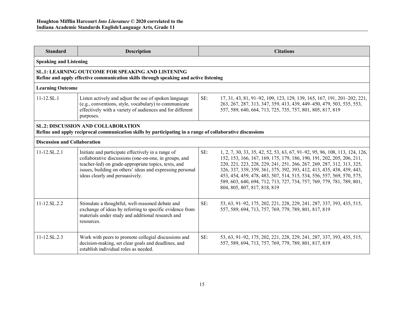| <b>Standard</b>                                                                                                                                        | <b>Description</b>                                                                                                                                                                                                                                                  |     | <b>Citations</b>                                                                                                                                                                                                                                                                                                                                                                                                                                                                         |
|--------------------------------------------------------------------------------------------------------------------------------------------------------|---------------------------------------------------------------------------------------------------------------------------------------------------------------------------------------------------------------------------------------------------------------------|-----|------------------------------------------------------------------------------------------------------------------------------------------------------------------------------------------------------------------------------------------------------------------------------------------------------------------------------------------------------------------------------------------------------------------------------------------------------------------------------------------|
| <b>Speaking and Listening</b>                                                                                                                          |                                                                                                                                                                                                                                                                     |     |                                                                                                                                                                                                                                                                                                                                                                                                                                                                                          |
| <b>SL.1: LEARNING OUTCOME FOR SPEAKING AND LISTENING</b><br>Refine and apply effective communication skills through speaking and active listening      |                                                                                                                                                                                                                                                                     |     |                                                                                                                                                                                                                                                                                                                                                                                                                                                                                          |
| <b>Learning Outcome</b>                                                                                                                                |                                                                                                                                                                                                                                                                     |     |                                                                                                                                                                                                                                                                                                                                                                                                                                                                                          |
| $11 - 12$ .SL.1                                                                                                                                        | Listen actively and adjust the use of spoken language<br>(e.g., conventions, style, vocabulary) to communicate<br>effectively with a variety of audiences and for different<br>purposes.                                                                            | SE: | 17, 31, 43, 81, 91–92, 109, 123, 129, 139, 165, 167, 191, 201–202, 221,<br>263, 267, 287, 313, 347, 359, 413, 439, 449-450, 479, 503, 535, 553,<br>557, 589, 640, 664, 713, 725, 735, 757, 801, 805, 817, 819                                                                                                                                                                                                                                                                            |
| <b>SL.2: DISCUSSION AND COLLABORATION</b><br>Refine and apply reciprocal communication skills by participating in a range of collaborative discussions |                                                                                                                                                                                                                                                                     |     |                                                                                                                                                                                                                                                                                                                                                                                                                                                                                          |
| <b>Discussion and Collaboration</b>                                                                                                                    |                                                                                                                                                                                                                                                                     |     |                                                                                                                                                                                                                                                                                                                                                                                                                                                                                          |
| $11 - 12$ .SL.2.1                                                                                                                                      | Initiate and participate effectively in a range of<br>collaborative discussions (one-on-one, in groups, and<br>teacher-led) on grade-appropriate topics, texts, and<br>issues, building on others' ideas and expressing personal<br>ideas clearly and persuasively. | SE: | 1, 2, 7, 30, 33, 35, 42, 52, 53, 63, 67, 91–92, 95, 96, 108, 113, 124, 126,<br>152, 153, 166, 167, 169, 175, 179, 186, 190, 191, 202, 205, 206, 211,<br>220, 221, 223, 228, 229, 241, 251, 266, 267, 269, 287, 312, 313, 325,<br>326, 337, 339, 359, 361, 375, 392, 393, 412, 413, 435, 438, 439, 443,<br>453, 454, 459, 478, 483, 507, 514, 515, 534, 556, 557, 569, 570, 575,<br>589, 603, 640, 694, 712, 713, 727, 734, 757, 769, 779, 781, 789, 801,<br>804, 805, 807, 817, 818, 819 |
| $11 - 12$ .SL.2.2                                                                                                                                      | Stimulate a thoughtful, well-reasoned debate and<br>exchange of ideas by referring to specific evidence from<br>materials under study and additional research and<br>resources.                                                                                     | SE: | 53, 63, 91-92, 175, 202, 221, 228, 229, 241, 287, 337, 393, 435, 515,<br>557, 589, 694, 713, 757, 769, 779, 789, 801, 817, 819                                                                                                                                                                                                                                                                                                                                                           |
| 11-12.SL.2.3                                                                                                                                           | Work with peers to promote collegial discussions and<br>decision-making, set clear goals and deadlines, and<br>establish individual roles as needed.                                                                                                                | SE: | 53, 63, 91-92, 175, 202, 221, 228, 229, 241, 287, 337, 393, 435, 515,<br>557, 589, 694, 713, 757, 769, 779, 789, 801, 817, 819                                                                                                                                                                                                                                                                                                                                                           |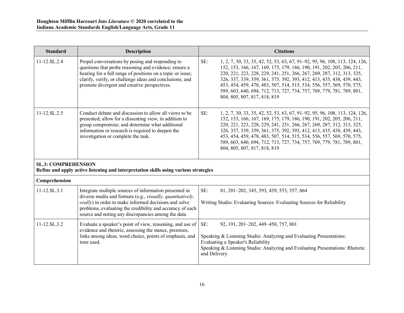| <b>Standard</b>            | <b>Description</b>                                                                                                                                                                                                                                                                                        | <b>Citations</b>                                                                                                                                                                                                                                                                                                                                                                                                                                                                                |
|----------------------------|-----------------------------------------------------------------------------------------------------------------------------------------------------------------------------------------------------------------------------------------------------------------------------------------------------------|-------------------------------------------------------------------------------------------------------------------------------------------------------------------------------------------------------------------------------------------------------------------------------------------------------------------------------------------------------------------------------------------------------------------------------------------------------------------------------------------------|
| 11-12.SL.2.4               | Propel conversations by posing and responding to<br>questions that probe reasoning and evidence; ensure a<br>hearing for a full range of positions on a topic or issue;<br>clarify, verify, or challenge ideas and conclusions; and<br>promote divergent and creative perspectives.                       | SE:<br>1, 2, 7, 30, 33, 35, 42, 52, 53, 63, 67, 91-92, 95, 96, 108, 113, 124, 126,<br>152, 153, 166, 167, 169, 175, 179, 186, 190, 191, 202, 205, 206, 211,<br>220, 221, 223, 228, 229, 241, 251, 266, 267, 269, 287, 312, 313, 325,<br>326, 337, 339, 359, 361, 375, 392, 393, 412, 413, 435, 438, 439, 443,<br>453, 454, 459, 478, 483, 507, 514, 515, 534, 556, 557, 569, 570, 575,<br>589, 603, 640, 694, 712, 713, 727, 734, 757, 769, 779, 781, 789, 801,<br>804, 805, 807, 817, 818, 819 |
| 11-12.SL.2.5               | Conduct debate and discussion to allow all views to be<br>presented; allow for a dissenting view, in addition to<br>group compromise; and determine what additional<br>information or research is required to deepen the<br>investigation or complete the task.                                           | SE:<br>1, 2, 7, 30, 33, 35, 42, 52, 53, 63, 67, 91–92, 95, 96, 108, 113, 124, 126,<br>152, 153, 166, 167, 169, 175, 179, 186, 190, 191, 202, 205, 206, 211,<br>220, 221, 223, 228, 229, 241, 251, 266, 267, 269, 287, 312, 313, 325,<br>326, 337, 339, 359, 361, 375, 392, 393, 412, 413, 435, 438, 439, 443,<br>453, 454, 459, 478, 483, 507, 514, 515, 534, 556, 557, 569, 570, 575,<br>589, 603, 640, 694, 712, 713, 727, 734, 757, 769, 779, 781, 789, 801,<br>804, 805, 807, 817, 818, 819 |
| <b>SL.3: COMPREHENSION</b> | Refine and apply active listening and interpretation skills using various strategies                                                                                                                                                                                                                      |                                                                                                                                                                                                                                                                                                                                                                                                                                                                                                 |
| Comprehension              |                                                                                                                                                                                                                                                                                                           |                                                                                                                                                                                                                                                                                                                                                                                                                                                                                                 |
| $11 - 12$ .SL.3.1          | Integrate multiple sources of information presented in<br>diverse media and formats (e.g., visually, quantitatively,<br><i>orally</i> ) in order to make informed decisions and solve<br>problems, evaluating the credibility and accuracy of each<br>source and noting any discrepancies among the data. | SE:<br>81, 201-202, 345, 393, 439, 553, 557, 664<br>Writing Studio: Evaluating Sources: Evaluating Sources for Reliability                                                                                                                                                                                                                                                                                                                                                                      |
| $11 - 12$ .SL.3.2          | Evaluate a speaker's point of view, reasoning, and use of<br>evidence and rhetoric, assessing the stance, premises,<br>links among ideas, word choice, points of emphasis, and<br>tone used.                                                                                                              | SE:<br>92, 191, 201-202, 449-450, 757, 801<br>Speaking & Listening Studio: Analyzing and Evaluating Presentations:<br>Evaluating a Speaker's Reliability<br>Speaking & Listening Studio: Analyzing and Evaluating Presentations: Rhetoric<br>and Delivery                                                                                                                                                                                                                                       |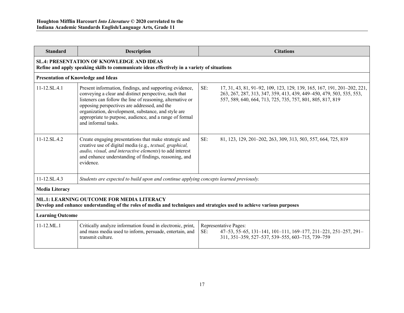| <b>Standard</b>                                                                                                                                                            | <b>Description</b>                                                                                                                                                                                                                                                                                                                                                      | <b>Citations</b>                                                                                                                                                                                                     |  |
|----------------------------------------------------------------------------------------------------------------------------------------------------------------------------|-------------------------------------------------------------------------------------------------------------------------------------------------------------------------------------------------------------------------------------------------------------------------------------------------------------------------------------------------------------------------|----------------------------------------------------------------------------------------------------------------------------------------------------------------------------------------------------------------------|--|
| <b>SL.4: PRESENTATION OF KNOWLEDGE AND IDEAS</b><br>Refine and apply speaking skills to communicate ideas effectively in a variety of situations                           |                                                                                                                                                                                                                                                                                                                                                                         |                                                                                                                                                                                                                      |  |
|                                                                                                                                                                            | <b>Presentation of Knowledge and Ideas</b>                                                                                                                                                                                                                                                                                                                              |                                                                                                                                                                                                                      |  |
| 11-12.SL.4.1                                                                                                                                                               | Present information, findings, and supporting evidence,<br>conveying a clear and distinct perspective, such that<br>listeners can follow the line of reasoning, alternative or<br>opposing perspectives are addressed, and the<br>organization, development, substance, and style are<br>appropriate to purpose, audience, and a range of formal<br>and informal tasks. | SE:<br>17, 31, 43, 81, 91–92, 109, 123, 129, 139, 165, 167, 191, 201–202, 221,<br>263, 267, 287, 313, 347, 359, 413, 439, 449-450, 479, 503, 535, 553,<br>557, 589, 640, 664, 713, 725, 735, 757, 801, 805, 817, 819 |  |
| $11-12$ SL $42$                                                                                                                                                            | Create engaging presentations that make strategic and<br>creative use of digital media (e.g., <i>textual</i> , <i>graphical</i> ,<br>audio, visual, and interactive elements) to add interest<br>and enhance understanding of findings, reasoning, and<br>evidence.                                                                                                     | SE:<br>81, 123, 129, 201–202, 263, 309, 313, 503, 557, 664, 725, 819                                                                                                                                                 |  |
| $11 - 12$ SL $4.3$                                                                                                                                                         | Students are expected to build upon and continue applying concepts learned previously.                                                                                                                                                                                                                                                                                  |                                                                                                                                                                                                                      |  |
| <b>Media Literacy</b>                                                                                                                                                      |                                                                                                                                                                                                                                                                                                                                                                         |                                                                                                                                                                                                                      |  |
| <b>ML.1: LEARNING OUTCOME FOR MEDIA LITERACY</b><br>Develop and enhance understanding of the roles of media and techniques and strategies used to achieve various purposes |                                                                                                                                                                                                                                                                                                                                                                         |                                                                                                                                                                                                                      |  |
| <b>Learning Outcome</b>                                                                                                                                                    |                                                                                                                                                                                                                                                                                                                                                                         |                                                                                                                                                                                                                      |  |
| $11 - 12$ .ML.1                                                                                                                                                            | Critically analyze information found in electronic, print,<br>and mass media used to inform, persuade, entertain, and<br>transmit culture.                                                                                                                                                                                                                              | Representative Pages:<br>SE:<br>47-53, 55-65, 131-141, 101-111, 169-177, 211-221, 251-257, 291-<br>311, 351-359, 527-537, 539-555, 603-715, 739-759                                                                  |  |